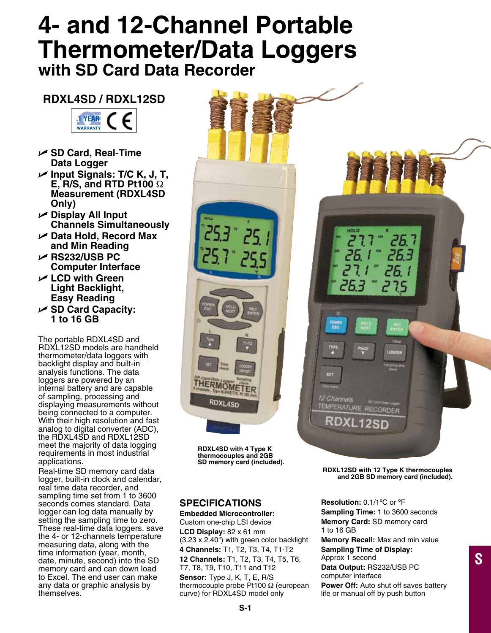# **4- and 12-Channel Portable Thermometer/Data Loggers with SD Card Data Recorder**

## **RDXL4SD / RDXL12SD**



- U **SD Card, Real-Time Data Logger**
- U **Input Signals: T/C K, J, T, E, R/S, and RTD Pt100** Ω **Measurement (RDXL4SD Only)**
- U **Display All Input Channels Simultaneously**
- U **Data Hold, Record Max and Min Reading**
- U **RS232/USB PC Computer Interface**
- U **LCD with Green Light Backlight, Easy Reading**
- U **SD Card Capacity: 1 to 16 GB**

The portable RDXL4SD and RDXL12SD models are handheld thermometer/data loggers with backlight display and built-in analysis functions. The data loggers are powered by an internal battery and are capable of sampling, processing and displaying measurements without being connected to a computer. With their high resolution and fast analog to digital converter (ADC), the RDXL4SD and RDXL12SD meet the majority of data logging requirements in most industrial applications.

Real-time SD memory card data logger, built-in clock and calendar, real time data recorder, and sampling time set from 1 to 3600 seconds comes standard. Data logger can log data manually by setting the sampling time to zero. These real-time data loggers, save the 4- or 12-channels temperature measuring data, along with the time information (year, month, date, minute, second) into the SD memory card and can down load to Excel. The end user can make any data or graphic analysis by themselves.



**RDXL4SD with 4 Type K thermocouples and 2GB SD memory card (included).**

### **SPECIFICATIONS**

**Embedded Microcontroller:** Custom one-chip LSI device **LCD Display:** 82 x 61 mm (3.23 x 2.40") with green color backlight **4 Channels:** T1, T2, T3, T4, T1-T2 **12 Channels:** T1, T2, T3, T4, T5, T6, T7, T8, T9, T10, T11 and T12 **Sensor:** Type J, K, T, E, R/S thermocouple probe Pt100 Ω (european curve) for RDXL4SD model only

**Resolution:** 0.1/1ºC or ºF **Sampling Time:** 1 to 3600 seconds **Memory Card:** SD memory card 1 to 16 GB

**RDXL12SD with 12 Type K thermocouples and 2GB SD memory card (included).**

**Memory Recall:** Max and min value **Sampling Time of Display:** Approx 1 second **Data Output:** RS232/USB PC computer interface

**S**

**Power Off:** Auto shut off saves battery life or manual off by push button